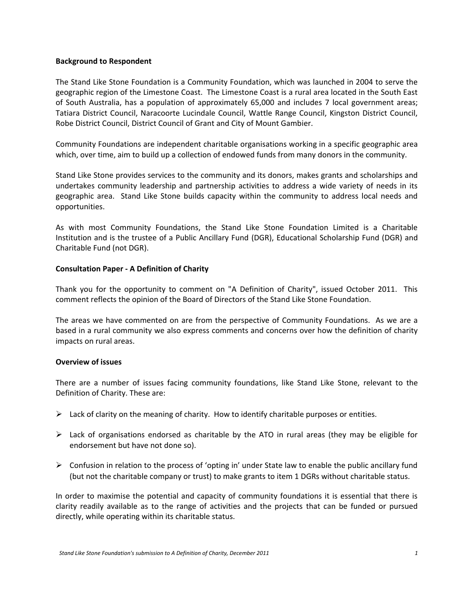#### **Background to Respondent**

The Stand Like Stone Foundation is a Community Foundation, which was launched in 2004 to serve the geographic region of the Limestone Coast. The Limestone Coast is a rural area located in the South East of South Australia, has a population of approximately 65,000 and includes 7 local government areas; Tatiara District Council, Naracoorte Lucindale Council, Wattle Range Council, Kingston District Council, Robe District Council, District Council of Grant and City of Mount Gambier.

Community Foundations are independent charitable organisations working in a specific geographic area which, over time, aim to build up a collection of endowed funds from many donors in the community.

Stand Like Stone provides services to the community and its donors, makes grants and scholarships and undertakes community leadership and partnership activities to address a wide variety of needs in its geographic area. Stand Like Stone builds capacity within the community to address local needs and opportunities.

As with most Community Foundations, the Stand Like Stone Foundation Limited is a Charitable Institution and is the trustee of a Public Ancillary Fund (DGR), Educational Scholarship Fund (DGR) and Charitable Fund (not DGR).

#### **Consultation Paper - A Definition of Charity**

Thank you for the opportunity to comment on "A Definition of Charity", issued October 2011. This comment reflects the opinion of the Board of Directors of the Stand Like Stone Foundation.

The areas we have commented on are from the perspective of Community Foundations. As we are a based in a rural community we also express comments and concerns over how the definition of charity impacts on rural areas.

#### **Overview of issues**

There are a number of issues facing community foundations, like Stand Like Stone, relevant to the Definition of Charity. These are:

- $\triangleright$  Lack of clarity on the meaning of charity. How to identify charitable purposes or entities.
- $\triangleright$  Lack of organisations endorsed as charitable by the ATO in rural areas (they may be eligible for endorsement but have not done so).
- $\triangleright$  Confusion in relation to the process of 'opting in' under State law to enable the public ancillary fund (but not the charitable company or trust) to make grants to item 1 DGRs without charitable status.

In order to maximise the potential and capacity of community foundations it is essential that there is clarity readily available as to the range of activities and the projects that can be funded or pursued directly, while operating within its charitable status.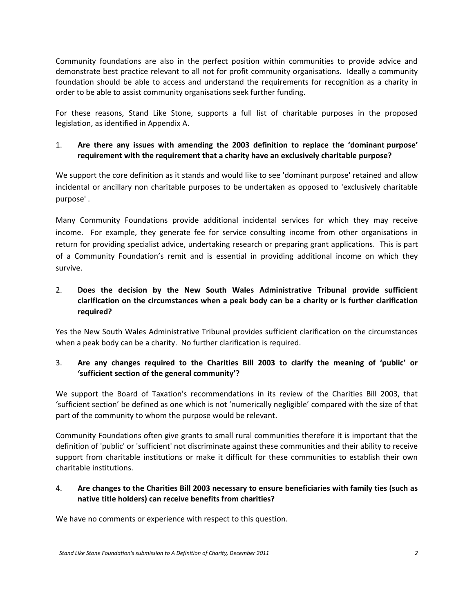Community foundations are also in the perfect position within communities to provide advice and demonstrate best practice relevant to all not for profit community organisations. Ideally a community foundation should be able to access and understand the requirements for recognition as a charity in order to be able to assist community organisations seek further funding.

For these reasons, Stand Like Stone, supports a full list of charitable purposes in the proposed legislation, as identified in Appendix A.

## 1. **Are there any issues with amending the 2003 definition to replace the 'dominant purpose' requirement with the requirement that a charity have an exclusively charitable purpose?**

We support the core definition as it stands and would like to see 'dominant purpose' retained and allow incidental or ancillary non charitable purposes to be undertaken as opposed to 'exclusively charitable purpose' .

Many Community Foundations provide additional incidental services for which they may receive income. For example, they generate fee for service consulting income from other organisations in return for providing specialist advice, undertaking research or preparing grant applications. This is part of a Community Foundation's remit and is essential in providing additional income on which they survive.

# 2. **Does the decision by the New South Wales Administrative Tribunal provide sufficient clarification on the circumstances when a peak body can be a charity or is further clarification required?**

Yes the New South Wales Administrative Tribunal provides sufficient clarification on the circumstances when a peak body can be a charity. No further clarification is required.

## 3. **Are any changes required to the Charities Bill 2003 to clarify the meaning of 'public' or 'sufficient section of the general community'?**

We support the Board of Taxation's recommendations in its review of the Charities Bill 2003, that 'sufficient section' be defined as one which is not 'numerically negligible' compared with the size of that part of the community to whom the purpose would be relevant.

Community Foundations often give grants to small rural communities therefore it is important that the definition of 'public' or 'sufficient' not discriminate against these communities and their ability to receive support from charitable institutions or make it difficult for these communities to establish their own charitable institutions.

### 4. **Are changes to the Charities Bill 2003 necessary to ensure beneficiaries with family ties (such as native title holders) can receive benefits from charities?**

We have no comments or experience with respect to this question.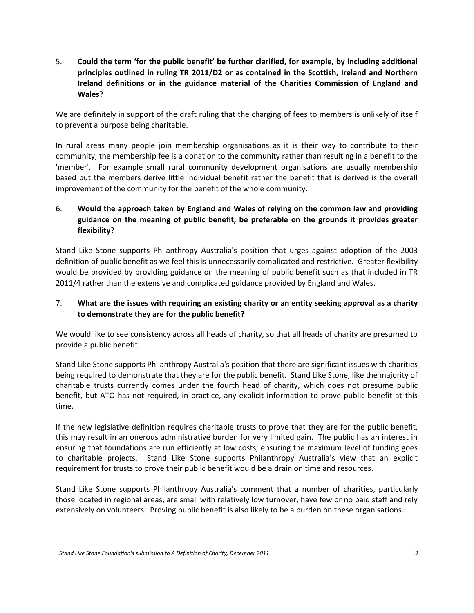5. **Could the term 'for the public benefit' be further clarified, for example, by including additional principles outlined in ruling TR 2011/D2 or as contained in the Scottish, Ireland and Northern Ireland definitions or in the guidance material of the Charities Commission of England and Wales?** 

We are definitely in support of the draft ruling that the charging of fees to members is unlikely of itself to prevent a purpose being charitable.

In rural areas many people join membership organisations as it is their way to contribute to their community, the membership fee is a donation to the community rather than resulting in a benefit to the 'member'. For example small rural community development organisations are usually membership based but the members derive little individual benefit rather the benefit that is derived is the overall improvement of the community for the benefit of the whole community.

## 6. **Would the approach taken by England and Wales of relying on the common law and providing guidance on the meaning of public benefit, be preferable on the grounds it provides greater flexibility?**

Stand Like Stone supports Philanthropy Australia's position that urges against adoption of the 2003 definition of public benefit as we feel this is unnecessarily complicated and restrictive. Greater flexibility would be provided by providing guidance on the meaning of public benefit such as that included in TR 2011/4 rather than the extensive and complicated guidance provided by England and Wales.

### 7. **What are the issues with requiring an existing charity or an entity seeking approval as a charity to demonstrate they are for the public benefit?**

We would like to see consistency across all heads of charity, so that all heads of charity are presumed to provide a public benefit.

Stand Like Stone supports Philanthropy Australia's position that there are significant issues with charities being required to demonstrate that they are for the public benefit. Stand Like Stone, like the majority of charitable trusts currently comes under the fourth head of charity, which does not presume public benefit, but ATO has not required, in practice, any explicit information to prove public benefit at this time.

If the new legislative definition requires charitable trusts to prove that they are for the public benefit, this may result in an onerous administrative burden for very limited gain. The public has an interest in ensuring that foundations are run efficiently at low costs, ensuring the maximum level of funding goes to charitable projects. Stand Like Stone supports Philanthropy Australia's view that an explicit requirement for trusts to prove their public benefit would be a drain on time and resources.

Stand Like Stone supports Philanthropy Australia's comment that a number of charities, particularly those located in regional areas, are small with relatively low turnover, have few or no paid staff and rely extensively on volunteers. Proving public benefit is also likely to be a burden on these organisations.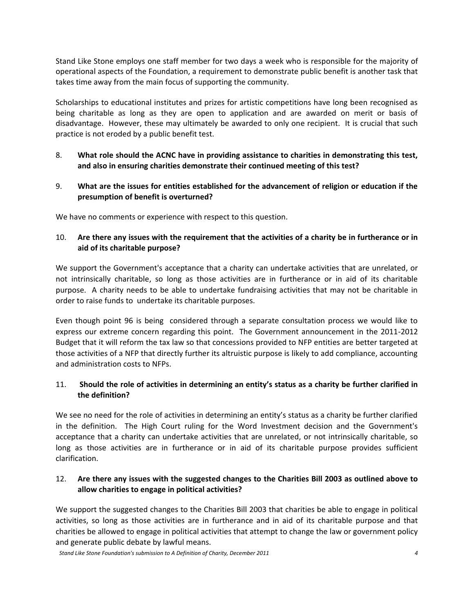Stand Like Stone employs one staff member for two days a week who is responsible for the majority of operational aspects of the Foundation, a requirement to demonstrate public benefit is another task that takes time away from the main focus of supporting the community.

Scholarships to educational institutes and prizes for artistic competitions have long been recognised as being charitable as long as they are open to application and are awarded on merit or basis of disadvantage. However, these may ultimately be awarded to only one recipient. It is crucial that such practice is not eroded by a public benefit test.

- 8. **What role should the ACNC have in providing assistance to charities in demonstrating this test, and also in ensuring charities demonstrate their continued meeting of this test?**
- 9. **What are the issues for entities established for the advancement of religion or education if the presumption of benefit is overturned?**

We have no comments or experience with respect to this question.

## 10. **Are there any issues with the requirement that the activities of a charity be in furtherance or in aid of its charitable purpose?**

We support the Government's acceptance that a charity can undertake activities that are unrelated, or not intrinsically charitable, so long as those activities are in furtherance or in aid of its charitable purpose. A charity needs to be able to undertake fundraising activities that may not be charitable in order to raise funds to undertake its charitable purposes.

Even though point 96 is being considered through a separate consultation process we would like to express our extreme concern regarding this point. The Government announcement in the 2011-2012 Budget that it will reform the tax law so that concessions provided to NFP entities are better targeted at those activities of a NFP that directly further its altruistic purpose is likely to add compliance, accounting and administration costs to NFPs.

### 11. **Should the role of activities in determining an entity's status as a charity be further clarified in the definition?**

We see no need for the role of activities in determining an entity's status as a charity be further clarified in the definition. The High Court ruling for the Word Investment decision and the Government's acceptance that a charity can undertake activities that are unrelated, or not intrinsically charitable, so long as those activities are in furtherance or in aid of its charitable purpose provides sufficient clarification.

### 12. **Are there any issues with the suggested changes to the Charities Bill 2003 as outlined above to allow charities to engage in political activities?**

We support the suggested changes to the Charities Bill 2003 that charities be able to engage in political activities, so long as those activities are in furtherance and in aid of its charitable purpose and that charities be allowed to engage in political activities that attempt to change the law or government policy and generate public debate by lawful means.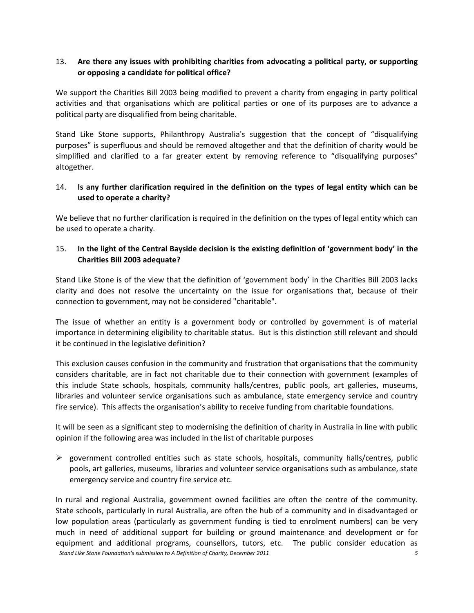### 13. **Are there any issues with prohibiting charities from advocating a political party, or supporting or opposing a candidate for political office?**

We support the Charities Bill 2003 being modified to prevent a charity from engaging in party political activities and that organisations which are political parties or one of its purposes are to advance a political party are disqualified from being charitable.

Stand Like Stone supports, Philanthropy Australia's suggestion that the concept of "disqualifying purposes" is superfluous and should be removed altogether and that the definition of charity would be simplified and clarified to a far greater extent by removing reference to "disqualifying purposes" altogether.

### 14. **Is any further clarification required in the definition on the types of legal entity which can be used to operate a charity?**

We believe that no further clarification is required in the definition on the types of legal entity which can be used to operate a charity.

### 15. **In the light of the Central Bayside decision is the existing definition of 'government body' in the Charities Bill 2003 adequate?**

Stand Like Stone is of the view that the definition of 'government body' in the Charities Bill 2003 lacks clarity and does not resolve the uncertainty on the issue for organisations that, because of their connection to government, may not be considered "charitable".

The issue of whether an entity is a government body or controlled by government is of material importance in determining eligibility to charitable status. But is this distinction still relevant and should it be continued in the legislative definition?

This exclusion causes confusion in the community and frustration that organisations that the community considers charitable, are in fact not charitable due to their connection with government (examples of this include State schools, hospitals, community halls/centres, public pools, art galleries, museums, libraries and volunteer service organisations such as ambulance, state emergency service and country fire service). This affects the organisation's ability to receive funding from charitable foundations.

It will be seen as a significant step to modernising the definition of charity in Australia in line with public opinion if the following area was included in the list of charitable purposes

 government controlled entities such as state schools, hospitals, community halls/centres, public pools, art galleries, museums, libraries and volunteer service organisations such as ambulance, state emergency service and country fire service etc.

*Stand Like Stone Foundation's submission to A Definition of Charity, December 2011 5* In rural and regional Australia, government owned facilities are often the centre of the community. State schools, particularly in rural Australia, are often the hub of a community and in disadvantaged or low population areas (particularly as government funding is tied to enrolment numbers) can be very much in need of additional support for building or ground maintenance and development or for equipment and additional programs, counsellors, tutors, etc. The public consider education as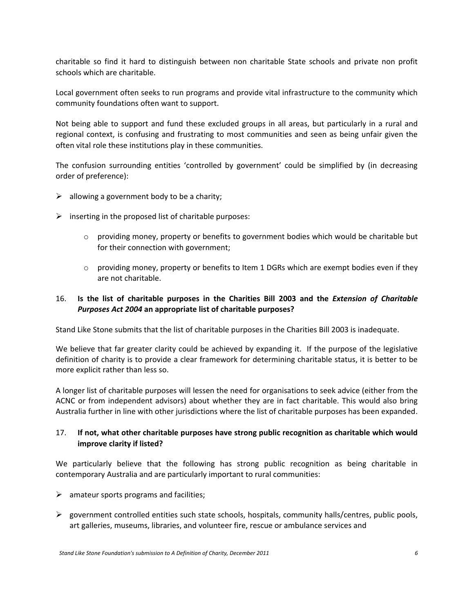charitable so find it hard to distinguish between non charitable State schools and private non profit schools which are charitable.

Local government often seeks to run programs and provide vital infrastructure to the community which community foundations often want to support.

Not being able to support and fund these excluded groups in all areas, but particularly in a rural and regional context, is confusing and frustrating to most communities and seen as being unfair given the often vital role these institutions play in these communities.

The confusion surrounding entities 'controlled by government' could be simplified by (in decreasing order of preference):

- $\triangleright$  allowing a government body to be a charity;
- $\triangleright$  inserting in the proposed list of charitable purposes:
	- $\circ$  providing money, property or benefits to government bodies which would be charitable but for their connection with government;
	- $\circ$  providing money, property or benefits to Item 1 DGRs which are exempt bodies even if they are not charitable.

### 16. **Is the list of charitable purposes in the Charities Bill 2003 and the** *Extension of Charitable Purposes Act 2004* **an appropriate list of charitable purposes?**

Stand Like Stone submits that the list of charitable purposes in the Charities Bill 2003 is inadequate.

We believe that far greater clarity could be achieved by expanding it. If the purpose of the legislative definition of charity is to provide a clear framework for determining charitable status, it is better to be more explicit rather than less so.

A longer list of charitable purposes will lessen the need for organisations to seek advice (either from the ACNC or from independent advisors) about whether they are in fact charitable. This would also bring Australia further in line with other jurisdictions where the list of charitable purposes has been expanded.

### 17. **If not, what other charitable purposes have strong public recognition as charitable which would improve clarity if listed?**

We particularly believe that the following has strong public recognition as being charitable in contemporary Australia and are particularly important to rural communities:

- $\triangleright$  amateur sports programs and facilities;
- $\triangleright$  government controlled entities such state schools, hospitals, community halls/centres, public pools, art galleries, museums, libraries, and volunteer fire, rescue or ambulance services and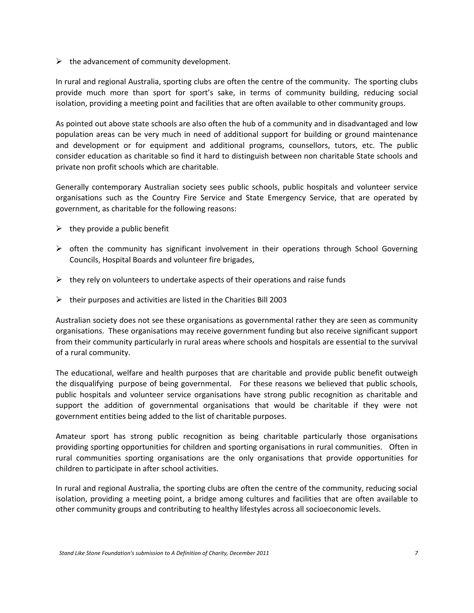$\triangleright$  the advancement of community development.

In rural and regional Australia, sporting clubs are often the centre of the community. The sporting clubs provide much more than sport for sport's sake, in terms of community building, reducing social isolation, providing a meeting point and facilities that are often available to other community groups.

As pointed out above state schools are also often the hub of a community and in disadvantaged and low population areas can be very much in need of additional support for building or ground maintenance and development or for equipment and additional programs, counsellors, tutors, etc. The public consider education as charitable so find it hard to distinguish between non charitable State schools and private non profit schools which are charitable.

Generally contemporary Australian society sees public schools, public hospitals and volunteer service organisations such as the Country Fire Service and State Emergency Service, that are operated by government, as charitable for the following reasons:

- $\triangleright$  they provide a public benefit
- $\triangleright$  often the community has significant involvement in their operations through School Governing Councils, Hospital Boards and volunteer fire brigades,
- $\triangleright$  they rely on volunteers to undertake aspects of their operations and raise funds
- $\triangleright$  their purposes and activities are listed in the Charities Bill 2003

Australian society does not see these organisations as governmental rather they are seen as community organisations. These organisations may receive government funding but also receive significant support from their community particularly in rural areas where schools and hospitals are essential to the survival of a rural community.

The educational, welfare and health purposes that are charitable and provide public benefit outweigh the disqualifying purpose of being governmental. For these reasons we believed that public schools, public hospitals and volunteer service organisations have strong public recognition as charitable and support the addition of governmental organisations that would be charitable if they were not government entities being added to the list of charitable purposes.

Amateur sport has strong public recognition as being charitable particularly those organisations providing sporting opportunities for children and sporting organisations in rural communities. Often in rural communities sporting organisations are the only organisations that provide opportunities for children to participate in after school activities.

In rural and regional Australia, the sporting clubs are often the centre of the community, reducing social isolation, providing a meeting point, a bridge among cultures and facilities that are often available to other community groups and contributing to healthy lifestyles across all socioeconomic levels.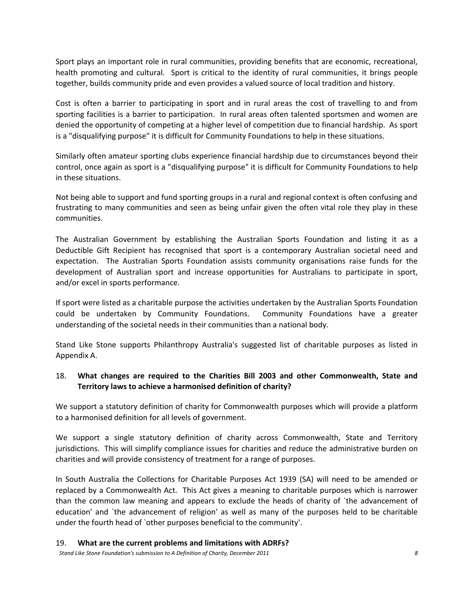Sport plays an important role in rural communities, providing benefits that are economic, recreational, health promoting and cultural. Sport is critical to the identity of rural communities, it brings people together, builds community pride and even provides a valued source of local tradition and history.

Cost is often a barrier to participating in sport and in rural areas the cost of travelling to and from sporting facilities is a barrier to participation. In rural areas often talented sportsmen and women are denied the opportunity of competing at a higher level of competition due to financial hardship. As sport is a "disqualifying purpose" it is difficult for Community Foundations to help in these situations.

Similarly often amateur sporting clubs experience financial hardship due to circumstances beyond their control, once again as sport is a "disqualifying purpose" it is difficult for Community Foundations to help in these situations.

Not being able to support and fund sporting groups in a rural and regional context is often confusing and frustrating to many communities and seen as being unfair given the often vital role they play in these communities.

The Australian Government by establishing the Australian Sports Foundation and listing it as a Deductible Gift Recipient has recognised that sport is a contemporary Australian societal need and expectation. The Australian Sports Foundation assists community organisations raise funds for the development of Australian sport and increase opportunities for Australians to participate in sport, and/or excel in sports performance.

If sport were listed as a charitable purpose the activities undertaken by the Australian Sports Foundation could be undertaken by Community Foundations. Community Foundations have a greater understanding of the societal needs in their communities than a national body.

Stand Like Stone supports Philanthropy Australia's suggested list of charitable purposes as listed in Appendix A.

#### 18. **What changes are required to the Charities Bill 2003 and other Commonwealth, State and Territory laws to achieve a harmonised definition of charity?**

We support a statutory definition of charity for Commonwealth purposes which will provide a platform to a harmonised definition for all levels of government.

We support a single statutory definition of charity across Commonwealth, State and Territory jurisdictions. This will simplify compliance issues for charities and reduce the administrative burden on charities and will provide consistency of treatment for a range of purposes.

In South Australia the Collections for Charitable Purposes Act 1939 (SA) will need to be amended or replaced by a Commonwealth Act. This Act gives a meaning to charitable purposes which is narrower than the common law meaning and appears to exclude the heads of charity of `the advancement of education' and `the advancement of religion' as well as many of the purposes held to be charitable under the fourth head of `other purposes beneficial to the community'.

#### 19. **What are the current problems and limitations with ADRFs?**

*Stand Like Stone Foundation's submission to A Definition of Charity, December 2011 8*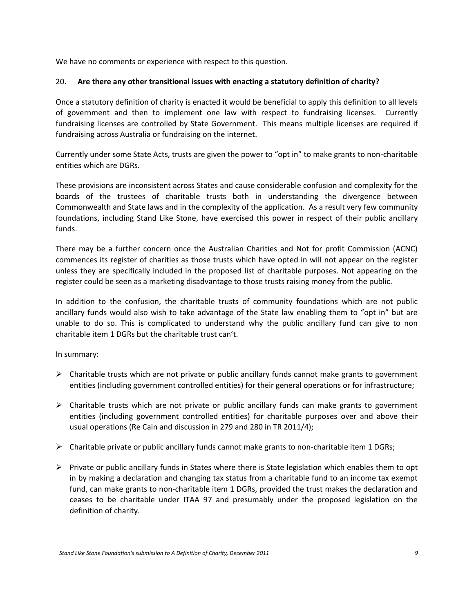We have no comments or experience with respect to this question.

#### 20. **Are there any other transitional issues with enacting a statutory definition of charity?**

Once a statutory definition of charity is enacted it would be beneficial to apply this definition to all levels of government and then to implement one law with respect to fundraising licenses. Currently fundraising licenses are controlled by State Government. This means multiple licenses are required if fundraising across Australia or fundraising on the internet.

Currently under some State Acts, trusts are given the power to "opt in" to make grants to non-charitable entities which are DGRs.

These provisions are inconsistent across States and cause considerable confusion and complexity for the boards of the trustees of charitable trusts both in understanding the divergence between Commonwealth and State laws and in the complexity of the application. As a result very few community foundations, including Stand Like Stone, have exercised this power in respect of their public ancillary funds.

There may be a further concern once the Australian Charities and Not for profit Commission (ACNC) commences its register of charities as those trusts which have opted in will not appear on the register unless they are specifically included in the proposed list of charitable purposes. Not appearing on the register could be seen as a marketing disadvantage to those trusts raising money from the public.

In addition to the confusion, the charitable trusts of community foundations which are not public ancillary funds would also wish to take advantage of the State law enabling them to "opt in" but are unable to do so. This is complicated to understand why the public ancillary fund can give to non charitable item 1 DGRs but the charitable trust can't.

In summary:

- $\triangleright$  Charitable trusts which are not private or public ancillary funds cannot make grants to government entities (including government controlled entities) for their general operations or for infrastructure;
- $\triangleright$  Charitable trusts which are not private or public ancillary funds can make grants to government entities (including government controlled entities) for charitable purposes over and above their usual operations (Re Cain and discussion in 279 and 280 in TR 2011/4);
- $\triangleright$  Charitable private or public ancillary funds cannot make grants to non-charitable item 1 DGRs;
- $\triangleright$  Private or public ancillary funds in States where there is State legislation which enables them to opt in by making a declaration and changing tax status from a charitable fund to an income tax exempt fund, can make grants to non-charitable item 1 DGRs, provided the trust makes the declaration and ceases to be charitable under ITAA 97 and presumably under the proposed legislation on the definition of charity.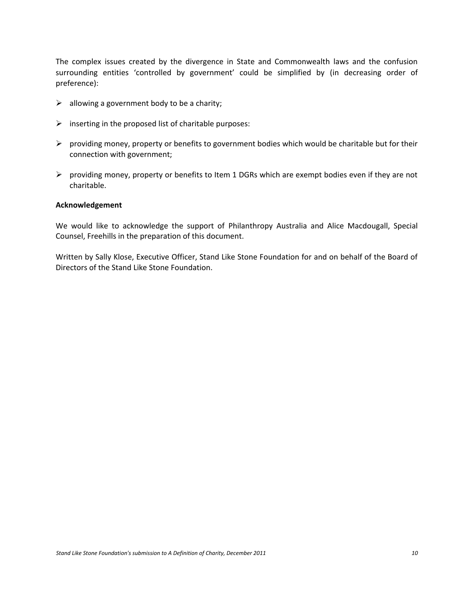The complex issues created by the divergence in State and Commonwealth laws and the confusion surrounding entities 'controlled by government' could be simplified by (in decreasing order of preference):

- $\triangleright$  allowing a government body to be a charity;
- $\triangleright$  inserting in the proposed list of charitable purposes:
- $\triangleright$  providing money, property or benefits to government bodies which would be charitable but for their connection with government;
- $\triangleright$  providing money, property or benefits to Item 1 DGRs which are exempt bodies even if they are not charitable.

#### **Acknowledgement**

We would like to acknowledge the support of Philanthropy Australia and Alice Macdougall, Special Counsel, Freehills in the preparation of this document.

Written by Sally Klose, Executive Officer, Stand Like Stone Foundation for and on behalf of the Board of Directors of the Stand Like Stone Foundation.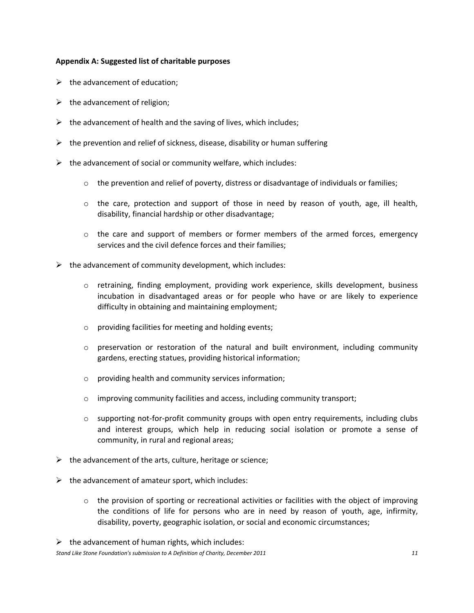#### **Appendix A: Suggested list of charitable purposes**

- $\triangleright$  the advancement of education;
- $\triangleright$  the advancement of religion;
- $\triangleright$  the advancement of health and the saving of lives, which includes;
- $\triangleright$  the prevention and relief of sickness, disease, disability or human suffering
- $\triangleright$  the advancement of social or community welfare, which includes:
	- $\circ$  the prevention and relief of poverty, distress or disadvantage of individuals or families;
	- $\circ$  the care, protection and support of those in need by reason of youth, age, ill health, disability, financial hardship or other disadvantage;
	- $\circ$  the care and support of members or former members of the armed forces, emergency services and the civil defence forces and their families;
- $\triangleright$  the advancement of community development, which includes:
	- o retraining, finding employment, providing work experience, skills development, business incubation in disadvantaged areas or for people who have or are likely to experience difficulty in obtaining and maintaining employment;
	- o providing facilities for meeting and holding events;
	- $\circ$  preservation or restoration of the natural and built environment, including community gardens, erecting statues, providing historical information;
	- o providing health and community services information;
	- o improving community facilities and access, including community transport;
	- $\circ$  supporting not-for-profit community groups with open entry requirements, including clubs and interest groups, which help in reducing social isolation or promote a sense of community, in rural and regional areas;
- $\triangleright$  the advancement of the arts, culture, heritage or science;
- $\triangleright$  the advancement of amateur sport, which includes:
	- $\circ$  the provision of sporting or recreational activities or facilities with the object of improving the conditions of life for persons who are in need by reason of youth, age, infirmity, disability, poverty, geographic isolation, or social and economic circumstances;

 $\triangleright$  the advancement of human rights, which includes:

*Stand Like Stone Foundation's submission to A Definition of Charity, December 2011 11*